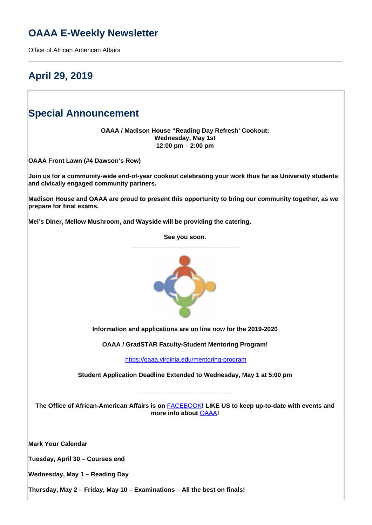### **OAAA E-Weekly Newsletter**

Office of African American Affairs

# **April 29, 2019**

### **Special Announcement**

**OAAA / Madison House "Reading Day Refresh' Cookout: Wednesday, May 1st 12:00 pm – 2:00 pm**

**OAAA Front Lawn (#4 Dawson's Row)**

**Join us for a community-wide end-of-year cookout celebrating your work thus far as University students and civically engaged community partners.** 

**Madison House and OAAA are proud to present this opportunity to bring our community together, as we prepare for final exams.**

**Mel's Diner, Mellow Mushroom, and Wayside will be providing the catering.**

**See you soon. \_\_\_\_\_\_\_\_\_\_\_\_\_\_\_\_\_\_\_\_\_\_\_\_\_\_\_\_\_\_\_**



**Information and applications are on line now for the 2019-2020**

**OAAA / GradSTAR Faculty-Student Mentoring Program!**

<https://oaaa.virginia.edu/mentoring-program>

**Student Application Deadline Extended to Wednesday, May 1 at 5:00 pm**

**\_\_\_\_\_\_\_\_\_\_\_\_\_\_\_\_\_\_\_\_\_\_\_\_\_\_\_**

**The Office of African-American Affairs is on** FACEBOOK**! LIKE US to keep up-to-date with events and more info about** OAAA**!**

**Mark Your Calendar** 

**Tuesday, April 30 – Courses end**

**Wednesday, May 1 – Reading Day** 

**Thursday, May 2 – Friday, May 10 – Examinations – All the best on finals!**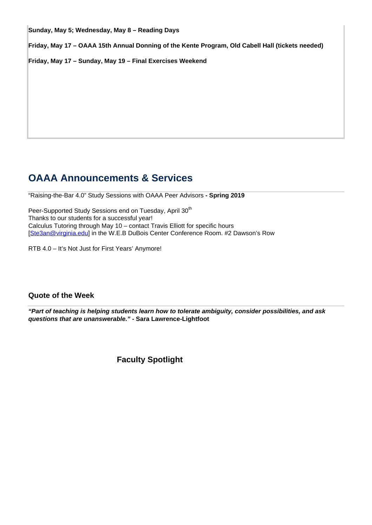**Sunday, May 5; Wednesday, May 8 – Reading Days**

**Friday, May 17 – OAAA 15th Annual Donning of the Kente Program, Old Cabell Hall (tickets needed)**

**Friday, May 17 – Sunday, May 19 – Final Exercises Weekend**

### **OAAA Announcements & Services**

"Raising-the-Bar 4.0" Study Sessions with OAAA Peer Advisors **- Spring 2019**

Peer-Supported Study Sessions end on Tuesday, April 30<sup>th</sup> Thanks to our students for a successful year! Calculus Tutoring through May 10 – contact Travis Elliott for specific hours [Ste3an@virginia.edu] in the W.E.B DuBois Center Conference Room. #2 Dawson's Row

RTB 4.0 – It's Not Just for First Years' Anymore!

### **Quote of the Week**

**"Part of teaching is helping students learn how to tolerate ambiguity, consider possibilities, and ask questions that are unanswerable." - Sara Lawrence-Lightfoot**

**Faculty Spotlight**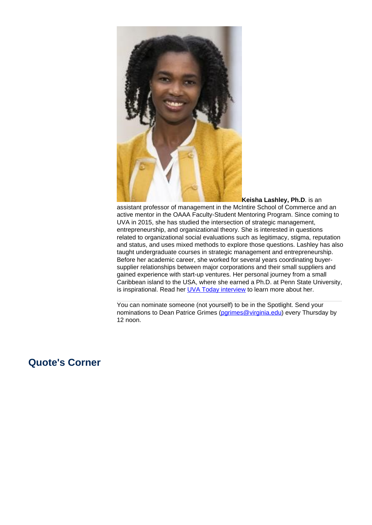

**Keisha Lashley, Ph.D**. is an assistant professor of management in the McIntire School of Commerce and an active mentor in the OAAA Faculty-Student Mentoring Program. Since coming to UVA in 2015, she has studied the intersection of strategic management, entrepreneurship, and organizational theory. She is interested in questions related to organizational social evaluations such as legitimacy, stigma, reputation and status, and uses mixed methods to explore those questions. Lashley has also taught undergraduate courses in strategic management and entrepreneurship. Before her academic career, she worked for several years coordinating buyersupplier relationships between major corporations and their small suppliers and gained experience with start-up ventures. Her personal journey from a small Caribbean island to the USA, where she earned a Ph.D. at Penn State University, is inspirational. Read her **UVA Today interview** to learn more about her.

You can nominate someone (not yourself) to be in the Spotlight. Send your nominations to Dean Patrice Grimes (parimes@virginia.edu) every Thursday by 12 noon.

### **Quote's Corner**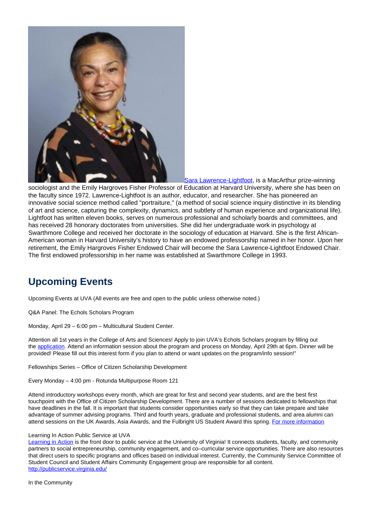

Sara Lawrence-Lightfoot, is a MacArthur prize-winning

sociologist and the Emily Hargroves Fisher Professor of Education at Harvard University, where she has been on the faculty since 1972. Lawrence-Lightfoot is an author, educator, and researcher. She has pioneered an innovative social science method called "portraiture," (a method of social science inquiry distinctive in its blending of art and science, capturing the complexity, dynamics, and subtlety of human experience and organizational life). Lightfoot has written eleven books, serves on numerous professional and scholarly boards and committees, and has received 28 honorary doctorates from universities. She did her undergraduate work in psychology at Swarthmore College and received her doctorate in the sociology of education at Harvard. She is the first African-American woman in Harvard University's history to have an endowed professorship named in her honor. Upon her retirement, the Emily Hargroves Fisher Endowed Chair will become the Sara Lawrence-Lightfoot Endowed Chair. The first endowed professorship in her name was established at Swarthmore College in 1993.

# **Upcoming Events**

Upcoming Events at UVA (All events are free and open to the public unless otherwise noted.)

Q&A Panel: The Echols Scholars Program

Monday, April 29 – 6:00 pm – Multicultural Student Center.

Attention all 1st years in the College of Arts and Sciences! Apply to join UVA's Echols Scholars program by filling out the application. Attend an information session about the program and process on Monday, April 29th at 6pm. Dinner will be provided! Please fill out this interest form if you plan to attend or want updates on the program/info session!"

Fellowships Series – Office of Citizen Scholarship Development

Every Monday – 4:00 pm - Rotunda Multipurpose Room 121

Attend introductory workshops every month, which are great for first and second year students, and are the best first touchpoint with the Office of Citizen Scholarship Development. There are a number of sessions dedicated to fellowships that have deadlines in the fall. It is important that students consider opportunities early so that they can take prepare and take advantage of summer advising programs. Third and fourth years, graduate and professional students, and area alumni can attend sessions on the UK Awards, Asia Awards, and the Fulbright US Student Award this spring. For more information

#### Learning In Action Public Service at UVA

Learning in Action is the front door to public service at the University of Virginia! It connects students, faculty, and community partners to social entrepreneurship, community engagement, and co–curricular service opportunities. There are also resources that direct users to specific programs and offices based on individual interest. Currently, the Community Service Committee of Student Council and Student Affairs Community Engagement group are responsible for all content. http://publicservice.virginia.edu/

In the Community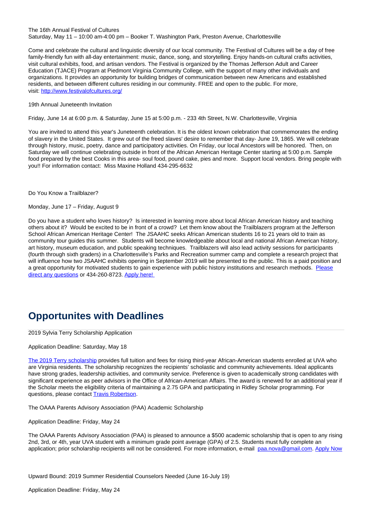### The 16th Annual Festival of Cultures Saturday, May 11 – 10:00 am-4:00 pm – Booker T. Washington Park, Preston Avenue, Charlottesville

Come and celebrate the cultural and linguistic diversity of our local community. The Festival of Cultures will be a day of free family-friendly fun with all-day entertainment: music, dance, song, and storytelling. Enjoy hands-on cultural crafts activities, visit cultural exhibits, food, and artisan vendors. The Festival is organized by the Thomas Jefferson Adult and Career Education (TJACE) Program at Piedmont Virginia Community College, with the support of many other individuals and organizations. It provides an opportunity for building bridges of communication between new Americans and established residents, and between different cultures residing in our community. FREE and open to the public. For more, visit: http://www.festivalofcultures.org/

19th Annual Juneteenth Invitation

Friday, June 14 at 6:00 p.m. & Saturday, June 15 at 5:00 p.m. - 233 4th Street, N.W. Charlottesville, Virginia

You are invited to attend this year's Juneteenth celebration. It is the oldest known celebration that commemorates the ending of slavery in the United States. It grew out of the freed slaves' desire to remember that day- June 19, 1865. We will celebrate through history, music, poetry, dance and participatory activities. On Friday, our local Ancestors will be honored. Then, on Saturday we will continue celebrating outside in front of the African American Heritage Center starting at 5:00 p.m. Sample food prepared by the best Cooks in this area- soul food, pound cake, pies and more. Support local vendors. Bring people with you!! For information contact: Miss Maxine Holland 434-295-6632

Do You Know a Trailblazer?

Monday, June 17 – Friday, August 9

Do you have a student who loves history? Is interested in learning more about local African American history and teaching others about it? Would be excited to be in front of a crowd? Let them know about the Trailblazers program at the Jefferson School African American Heritage Center! The JSAAHC seeks African American students 16 to 21 years old to train as community tour guides this summer. Students will become knowledgeable about local and national African American history, art history, museum education, and public speaking techniques. Trailblazers will also lead activity sessions for participants (fourth through sixth graders) in a Charlottesville's Parks and Recreation summer camp and complete a research project that will influence how two JSAAHC exhibits opening in September 2019 will be presented to the public. This is a paid position and a great opportunity for motivated students to gain experience with public history institutions and research methods. Please direct any questions or 434-260-8723. Apply here!

# **Opportunites with Deadlines**

2019 Sylvia Terry Scholarship Application

Application Deadline: Saturday, May 18

The 2019 Terry scholarship provides full tuition and fees for rising third-year African-American students enrolled at UVA who are Virginia residents. The scholarship recognizes the recipients' scholastic and community achievements. Ideal applicants have strong grades, leadership activities, and community service. Preference is given to academically strong candidates with significant experience as peer advisors in the Office of African-American Affairs. The award is renewed for an additional year if the Scholar meets the eligibility criteria of maintaining a 2.75 GPA and participating in Ridley Scholar programming. For questions, please contact Travis Robertson.

The OAAA Parents Advisory Association (PAA) Academic Scholarship

Application Deadline: Friday, May 24

The OAAA Parents Advisory Association (PAA) is pleased to announce a \$500 academic scholarship that is open to any rising 2nd, 3rd, or 4th, year UVA student with a minimum grade point average (GPA) of 2.5. Students must fully complete an application; prior scholarship recipients will not be considered. For more information, e-mail paa.nova@gmail.com. Apply Now

Upward Bound: 2019 Summer Residential Counselors Needed (June 16-July 19)

Application Deadline: Friday, May 24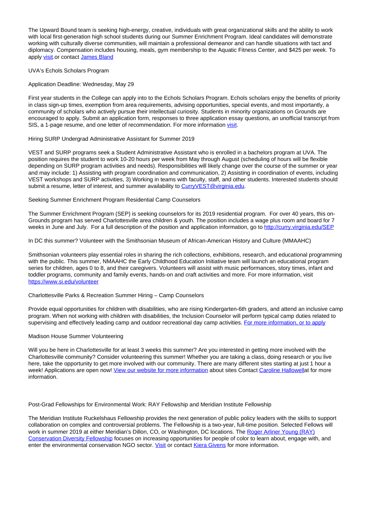The Upward Bound team is seeking high-energy, creative, individuals with great organizational skills and the ability to work with local first-generation high school students during our Summer Enrichment Program. Ideal candidates will demonstrate working with culturally diverse communities, will maintain a professional demeanor and can handle situations with tact and diplomacy. Compensation includes housing, meals, gym membership to the Aquatic Fitness Center, and \$425 per week. To apply visit.or contact James Bland

#### UVA's Echols Scholars Program

#### Application Deadline: Wednesday, May 29

First year students in the College can apply into to the Echols Scholars Program. Echols scholars enjoy the benefits of priority in class sign-up times, exemption from area requirements, advising opportunities, special events, and most importantly, a community of scholars who actively pursue their intellectual curiosity. Students in minority organizations on Grounds are encouraged to apply. Submit an application form, responses to three application essay questions, an unofficial transcript from SIS, a 1-page resume, and one letter of recommendation. For more information visit.

### Hiring SURP Undergrad Administrative Assistant for Summer 2019

VEST and SURP programs seek a Student Administrative Assistant who is enrolled in a bachelors program at UVA. The position requires the student to work 10-20 hours per week from May through August (scheduling of hours will be flexible depending on SURP program activities and needs). Responsibilities will likely change over the course of the summer or year and may include: 1) Assisting with program coordination and communication, 2) Assisting in coordination of events, including VEST workshops and SURP activities, 3) Working in teams with faculty, staff, and other students. Interested students should submit a resume, letter of interest, and summer availability to CurryVEST@virginia.edu.

### Seeking Summer Enrichment Program Residential Camp Counselors

The Summer Enrichment Program (SEP) is seeking counselors for its 2019 residential program. For over 40 years, this on-Grounds program has served Charlottesville area children & youth. The position includes a wage plus room and board for 7 weeks in June and July. For a full description of the position and application information, go to http://curry.virginia.edu/SEP

In DC this summer? Volunteer with the Smithsonian Museum of African-American History and Culture (MMAAHC)

Smithsonian volunteers play essential roles in sharing the rich collections, exhibitions, research, and educational programming with the public. This summer, NMAAHC the Early Childhood Education Initiative team will launch an educational program series for children, ages 0 to 8, and their caregivers. Volunteers will assist with music performances, story times, infant and toddler programs, community and family events, hands-on and craft activities and more. For more information, visit https://www.si.edu/volunteer

#### Charlottesville Parks & Recreation Summer Hiring – Camp Counselors

Provide equal opportunities for children with disabilities, who are rising Kindergarten-6th graders, and attend an inclusive camp program. When not working with children with disabilities, the Inclusion Counselor will perform typical camp duties related to supervising and effectively leading camp and outdoor recreational day camp activities. For more information, or to apply

#### Madison House Summer Volunteering

Will you be here in Charlottesville for at least 3 weeks this summer? Are you interested in getting more involved with the Charlottesville community? Consider volunteering this summer! Whether you are taking a class, doing research or you live here, take the opportunity to get more involved with our community. There are many different sites starting at just 1 hour a week! Applications are open now! View our website for more information about sites Contact Caroline Hallowellat for more information.

#### Post-Grad Fellowships for Environmental Work: RAY Fellowship and Meridian Institute Fellowship

The Meridian Institute Ruckelshaus Fellowship provides the next generation of public policy leaders with the skills to support collaboration on complex and controversial problems. The Fellowship is a two-year, full-time position. Selected Fellows will work in summer 2019 at either Meridian's Dillon, CO, or Washington, DC locations. The Roger Arliner Young (RAY) Conservation Diversity Fellowship focuses on increasing opportunities for people of color to learn about, engage with, and enter the environmental conservation NGO sector. *Visit* or contact Kiera Givens for more information.